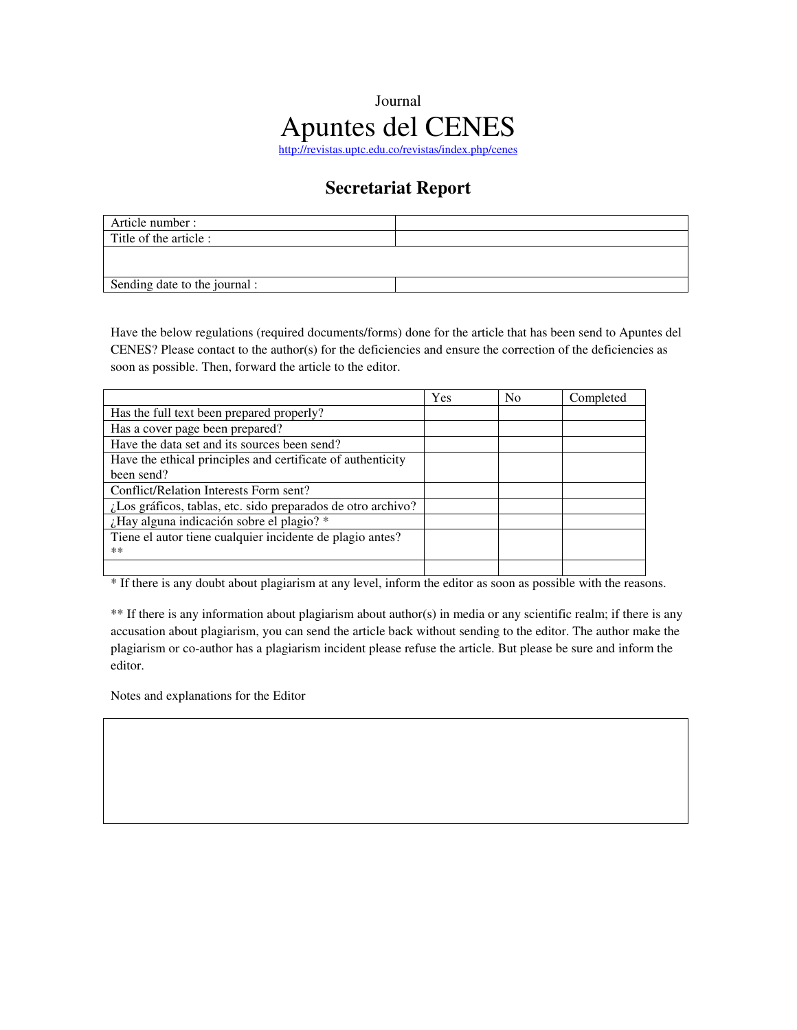## Journal Apuntes del CENES http://revistas.uptc.edu.co/revistas/index.php/cenes

## **Secretariat Report**

| Article number :              |  |
|-------------------------------|--|
| Title of the article :        |  |
|                               |  |
|                               |  |
| Sending date to the journal : |  |

Have the below regulations (required documents/forms) done for the article that has been send to Apuntes del CENES? Please contact to the author(s) for the deficiencies and ensure the correction of the deficiencies as soon as possible. Then, forward the article to the editor.

|                                                              | Yes | N <sub>0</sub> | Completed |
|--------------------------------------------------------------|-----|----------------|-----------|
| Has the full text been prepared properly?                    |     |                |           |
| Has a cover page been prepared?                              |     |                |           |
| Have the data set and its sources been send?                 |     |                |           |
| Have the ethical principles and certificate of authenticity  |     |                |           |
| been send?                                                   |     |                |           |
| Conflict/Relation Interests Form sent?                       |     |                |           |
| ¿Los gráficos, tablas, etc. sido preparados de otro archivo? |     |                |           |
| ¿Hay alguna indicación sobre el plagio? *                    |     |                |           |
| Tiene el autor tiene cualquier incidente de plagio antes?    |     |                |           |
| $***$                                                        |     |                |           |
|                                                              |     |                |           |

\* If there is any doubt about plagiarism at any level, inform the editor as soon as possible with the reasons.

\*\* If there is any information about plagiarism about author(s) in media or any scientific realm; if there is any accusation about plagiarism, you can send the article back without sending to the editor. The author make the plagiarism or co-author has a plagiarism incident please refuse the article. But please be sure and inform the editor.

Notes and explanations for the Editor